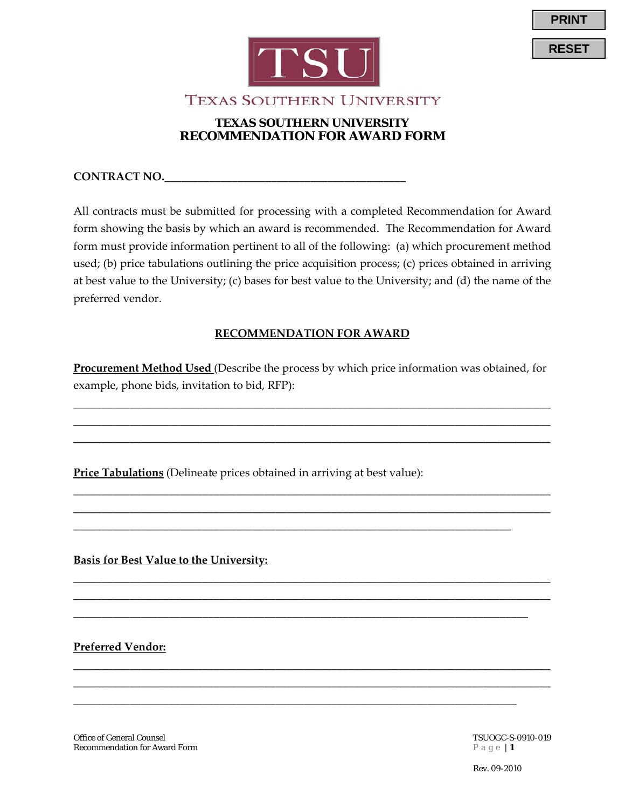

**TEXAS SOUTHERN UNIVERSITY** 

## **TEXAS SOUTHERN UNIVERSITY RECOMMENDATION FOR AWARD FORM**

**CONTRACT NO.\_\_\_\_\_\_\_\_\_\_\_\_\_\_\_\_\_\_\_\_\_\_\_\_\_\_\_\_\_\_\_\_\_\_\_\_\_\_\_\_\_\_\_**

All contracts must be submitted for processing with a completed Recommendation for Award form showing the basis by which an award is recommended. The Recommendation for Award form must provide information pertinent to all of the following: (a) which procurement method used; (b) price tabulations outlining the price acquisition process; (c) prices obtained in arriving at best value to the University; (c) bases for best value to the University; and (d) the name of the preferred vendor.

## **RECOMMENDATION FOR AWARD**

**Procurement Method Used** (Describe the process by which price information was obtained, for example, phone bids, invitation to bid, RFP):

\_\_\_\_\_\_\_\_\_\_\_\_\_\_\_\_\_\_\_\_\_\_\_\_\_\_\_\_\_\_\_\_\_\_\_\_\_\_\_\_\_\_\_\_\_\_\_\_\_\_\_\_\_\_\_\_\_\_\_\_\_\_\_\_\_\_\_\_\_\_\_\_\_\_\_\_\_\_\_\_\_\_\_\_\_ \_\_\_\_\_\_\_\_\_\_\_\_\_\_\_\_\_\_\_\_\_\_\_\_\_\_\_\_\_\_\_\_\_\_\_\_\_\_\_\_\_\_\_\_\_\_\_\_\_\_\_\_\_\_\_\_\_\_\_\_\_\_\_\_\_\_\_\_\_\_\_\_\_\_\_\_\_\_\_\_\_\_\_\_\_ \_\_\_\_\_\_\_\_\_\_\_\_\_\_\_\_\_\_\_\_\_\_\_\_\_\_\_\_\_\_\_\_\_\_\_\_\_\_\_\_\_\_\_\_\_\_\_\_\_\_\_\_\_\_\_\_\_\_\_\_\_\_\_\_\_\_\_\_\_\_\_\_\_\_\_\_\_\_\_\_\_\_\_\_\_

\_\_\_\_\_\_\_\_\_\_\_\_\_\_\_\_\_\_\_\_\_\_\_\_\_\_\_\_\_\_\_\_\_\_\_\_\_\_\_\_\_\_\_\_\_\_\_\_\_\_\_\_\_\_\_\_\_\_\_\_\_\_\_\_\_\_\_\_\_\_\_\_\_\_\_\_\_\_\_\_\_\_\_\_\_ \_\_\_\_\_\_\_\_\_\_\_\_\_\_\_\_\_\_\_\_\_\_\_\_\_\_\_\_\_\_\_\_\_\_\_\_\_\_\_\_\_\_\_\_\_\_\_\_\_\_\_\_\_\_\_\_\_\_\_\_\_\_\_\_\_\_\_\_\_\_\_\_\_\_\_\_\_\_\_\_\_\_\_\_\_

\_\_\_\_\_\_\_\_\_\_\_\_\_\_\_\_\_\_\_\_\_\_\_\_\_\_\_\_\_\_\_\_\_\_\_\_\_\_\_\_\_\_\_\_\_\_\_\_\_\_\_\_\_\_\_\_\_\_\_\_\_\_\_\_\_\_\_\_\_\_\_\_\_\_\_\_\_\_\_\_\_\_\_\_\_ \_\_\_\_\_\_\_\_\_\_\_\_\_\_\_\_\_\_\_\_\_\_\_\_\_\_\_\_\_\_\_\_\_\_\_\_\_\_\_\_\_\_\_\_\_\_\_\_\_\_\_\_\_\_\_\_\_\_\_\_\_\_\_\_\_\_\_\_\_\_\_\_\_\_\_\_\_\_\_\_\_\_\_\_\_

\_\_\_\_\_\_\_\_\_\_\_\_\_\_\_\_\_\_\_\_\_\_\_\_\_\_\_\_\_\_\_\_\_\_\_\_\_\_\_\_\_\_\_\_\_\_\_\_\_\_\_\_\_\_\_\_\_\_\_\_\_\_\_\_\_\_\_\_\_\_\_\_\_\_\_\_\_\_\_\_\_\_\_\_\_ \_\_\_\_\_\_\_\_\_\_\_\_\_\_\_\_\_\_\_\_\_\_\_\_\_\_\_\_\_\_\_\_\_\_\_\_\_\_\_\_\_\_\_\_\_\_\_\_\_\_\_\_\_\_\_\_\_\_\_\_\_\_\_\_\_\_\_\_\_\_\_\_\_\_\_\_\_\_\_\_\_\_\_\_\_

\_\_\_\_\_\_\_\_\_\_\_\_\_\_\_\_\_\_\_\_\_\_\_\_\_\_\_\_\_\_\_\_\_\_\_\_\_\_\_\_\_\_\_\_\_\_\_\_\_\_\_\_\_\_\_\_\_\_\_\_\_\_\_\_\_\_\_\_\_\_\_\_\_\_\_\_\_\_\_\_\_

\_\_\_\_\_\_\_\_\_\_\_\_\_\_\_\_\_\_\_\_\_\_\_\_\_\_\_\_\_\_\_\_\_\_\_\_\_\_\_\_\_\_\_\_\_\_\_\_\_\_\_\_\_\_\_\_\_\_\_\_\_\_\_\_\_\_\_\_\_\_\_\_\_\_\_\_\_\_\_

\_\_\_\_\_\_\_\_\_\_\_\_\_\_\_\_\_\_\_\_\_\_\_\_\_\_\_\_\_\_\_\_\_\_\_\_\_\_\_\_\_\_\_\_\_\_\_\_\_\_\_\_\_\_\_\_\_\_\_\_\_\_\_\_\_\_\_\_\_\_\_\_\_\_\_\_\_\_

**Price Tabulations** (Delineate prices obtained in arriving at best value):

**Basis for Best Value to the University:**

**Preferred Vendor:** 

Office of General Counsel<br>
Recommendation for Award Form<br>  $P \text{ a } g \text{ e } | \textbf{1}$ **Recommendation for Award Form** 

Rev. 09-2010

**PRINT**

**RESET**